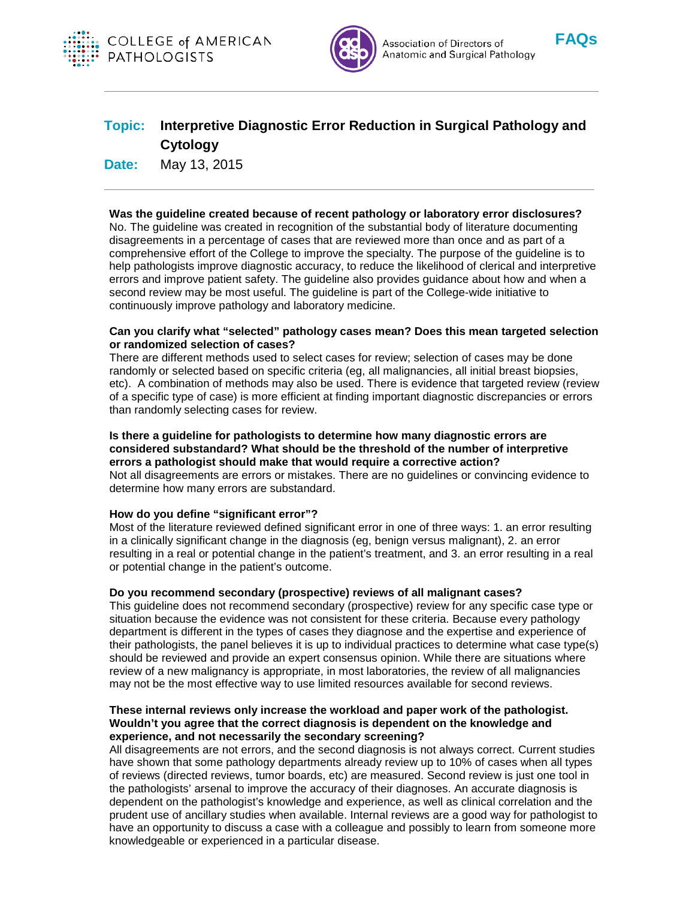



Association of Directors of Anatomic and Surgical Pathology



# **Topic: Interpretive Diagnostic Error Reduction in Surgical Pathology and Cytology**

**Date:** May 13, 2015

# **Was the guideline created because of recent pathology or laboratory error disclosures?**

No. The guideline was created in recognition of the substantial body of literature documenting disagreements in a percentage of cases that are reviewed more than once and as part of a comprehensive effort of the College to improve the specialty. The purpose of the guideline is to help pathologists improve diagnostic accuracy, to reduce the likelihood of clerical and interpretive errors and improve patient safety. The guideline also provides guidance about how and when a second review may be most useful. The guideline is part of the College-wide initiative to continuously improve pathology and laboratory medicine.

### **Can you clarify what "selected" pathology cases mean? Does this mean targeted selection or randomized selection of cases?**

There are different methods used to select cases for review; selection of cases may be done randomly or selected based on specific criteria (eg, all malignancies, all initial breast biopsies, etc). A combination of methods may also be used. There is evidence that targeted review (review of a specific type of case) is more efficient at finding important diagnostic discrepancies or errors than randomly selecting cases for review.

### **Is there a guideline for pathologists to determine how many diagnostic errors are considered substandard? What should be the threshold of the number of interpretive errors a pathologist should make that would require a corrective action?**

Not all disagreements are errors or mistakes. There are no guidelines or convincing evidence to determine how many errors are substandard.

### **How do you define "significant error"?**

Most of the literature reviewed defined significant error in one of three ways: 1. an error resulting in a clinically significant change in the diagnosis (eg, benign versus malignant), 2. an error resulting in a real or potential change in the patient's treatment, and 3. an error resulting in a real or potential change in the patient's outcome.

### **Do you recommend secondary (prospective) reviews of all malignant cases?**

This guideline does not recommend secondary (prospective) review for any specific case type or situation because the evidence was not consistent for these criteria. Because every pathology department is different in the types of cases they diagnose and the expertise and experience of their pathologists, the panel believes it is up to individual practices to determine what case type(s) should be reviewed and provide an expert consensus opinion. While there are situations where review of a new malignancy is appropriate, in most laboratories, the review of all malignancies may not be the most effective way to use limited resources available for second reviews.

### **These internal reviews only increase the workload and paper work of the pathologist. Wouldn't you agree that the correct diagnosis is dependent on the knowledge and experience, and not necessarily the secondary screening?**

All disagreements are not errors, and the second diagnosis is not always correct. Current studies have shown that some pathology departments already review up to 10% of cases when all types of reviews (directed reviews, tumor boards, etc) are measured. Second review is just one tool in the pathologists' arsenal to improve the accuracy of their diagnoses. An accurate diagnosis is dependent on the pathologist's knowledge and experience, as well as clinical correlation and the prudent use of ancillary studies when available. Internal reviews are a good way for pathologist to have an opportunity to discuss a case with a colleague and possibly to learn from someone more knowledgeable or experienced in a particular disease.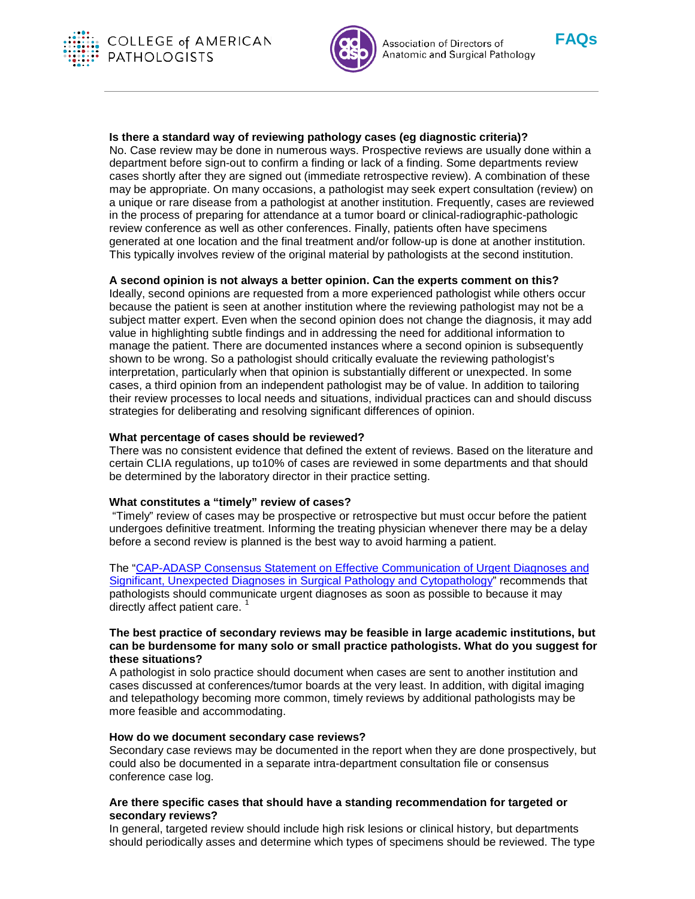



Association of Directors of Anatomic and Surgical Pathology



### **Is there a standard way of reviewing pathology cases (eg diagnostic criteria)?**

No. Case review may be done in numerous ways. Prospective reviews are usually done within a department before sign-out to confirm a finding or lack of a finding. Some departments review cases shortly after they are signed out (immediate retrospective review). A combination of these may be appropriate. On many occasions, a pathologist may seek expert consultation (review) on a unique or rare disease from a pathologist at another institution. Frequently, cases are reviewed in the process of preparing for attendance at a tumor board or clinical-radiographic-pathologic review conference as well as other conferences. Finally, patients often have specimens generated at one location and the final treatment and/or follow-up is done at another institution. This typically involves review of the original material by pathologists at the second institution.

# **A second opinion is not always a better opinion. Can the experts comment on this?**

Ideally, second opinions are requested from a more experienced pathologist while others occur because the patient is seen at another institution where the reviewing pathologist may not be a subject matter expert. Even when the second opinion does not change the diagnosis, it may add value in highlighting subtle findings and in addressing the need for additional information to manage the patient. There are documented instances where a second opinion is subsequently shown to be wrong. So a pathologist should critically evaluate the reviewing pathologist's interpretation, particularly when that opinion is substantially different or unexpected. In some cases, a third opinion from an independent pathologist may be of value. In addition to tailoring their review processes to local needs and situations, individual practices can and should discuss strategies for deliberating and resolving significant differences of opinion.

### **What percentage of cases should be reviewed?**

There was no consistent evidence that defined the extent of reviews. Based on the literature and certain CLIA regulations, up to10% of cases are reviewed in some departments and that should be determined by the laboratory director in their practice setting.

### **What constitutes a "timely" review of cases?**

"Timely" review of cases may be prospective or retrospective but must occur before the patient undergoes definitive treatment. Informing the treating physician whenever there may be a delay before a second review is planned is the best way to avoid harming a patient.

The ["CAP-ADASP Consensus Statement on Effective Communication of Urgent Diagnoses and](http://www.archivesofpathology.org/doi/pdf/10.5858/arpa.2011-0400-SA)  [Significant, Unexpected Diagnoses in Surgical Pathology and Cytopathology"](http://www.archivesofpathology.org/doi/pdf/10.5858/arpa.2011-0400-SA) recommends that pathologists should communicate urgent diagnoses as soon as possible to because it may directly affect patient care.<sup>1</sup>

### **The best practice of secondary reviews may be feasible in large academic institutions, but can be burdensome for many solo or small practice pathologists. What do you suggest for these situations?**

A pathologist in solo practice should document when cases are sent to another institution and cases discussed at conferences/tumor boards at the very least. In addition, with digital imaging and telepathology becoming more common, timely reviews by additional pathologists may be more feasible and accommodating.

### **How do we document secondary case reviews?**

Secondary case reviews may be documented in the report when they are done prospectively, but could also be documented in a separate intra-department consultation file or consensus conference case log.

# **Are there specific cases that should have a standing recommendation for targeted or secondary reviews?**

In general, targeted review should include high risk lesions or clinical history, but departments should periodically asses and determine which types of specimens should be reviewed. The type